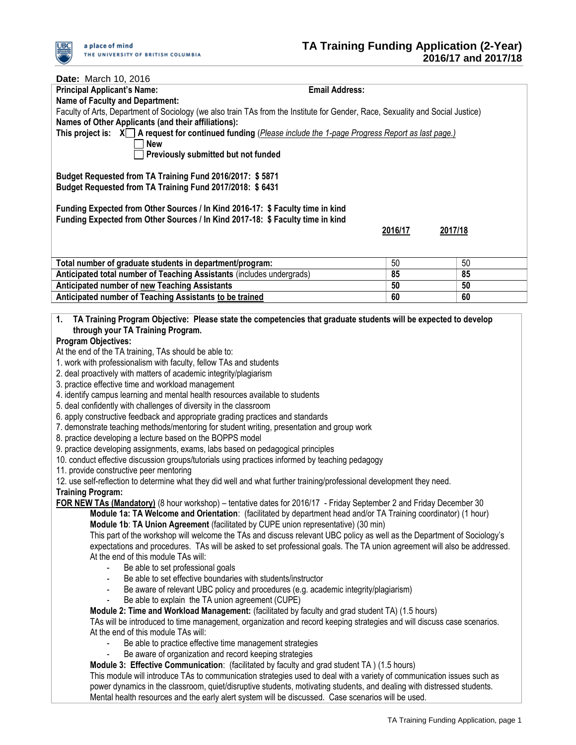

| Date: March 10, 2016                                                                                                                                                                                                       |                       |         |         |
|----------------------------------------------------------------------------------------------------------------------------------------------------------------------------------------------------------------------------|-----------------------|---------|---------|
| <b>Principal Applicant's Name:</b>                                                                                                                                                                                         | <b>Email Address:</b> |         |         |
| <b>Name of Faculty and Department:</b>                                                                                                                                                                                     |                       |         |         |
| Faculty of Arts, Department of Sociology (we also train TAs from the Institute for Gender, Race, Sexuality and Social Justice)                                                                                             |                       |         |         |
| Names of Other Applicants (and their affiliations):                                                                                                                                                                        |                       |         |         |
| This project is: $X \cap A$ request for continued funding ( <i>Please include the 1-page Progress Report as last page.</i> )                                                                                               |                       |         |         |
| <b>New</b>                                                                                                                                                                                                                 |                       |         |         |
| Previously submitted but not funded                                                                                                                                                                                        |                       |         |         |
| Budget Requested from TA Training Fund 2016/2017: \$5871                                                                                                                                                                   |                       |         |         |
| Budget Requested from TA Training Fund 2017/2018: \$6431                                                                                                                                                                   |                       |         |         |
|                                                                                                                                                                                                                            |                       |         |         |
| Funding Expected from Other Sources / In Kind 2016-17: \$ Faculty time in kind                                                                                                                                             |                       |         |         |
| Funding Expected from Other Sources / In Kind 2017-18: \$ Faculty time in kind                                                                                                                                             |                       |         |         |
|                                                                                                                                                                                                                            |                       | 2016/17 | 2017/18 |
|                                                                                                                                                                                                                            |                       |         |         |
|                                                                                                                                                                                                                            |                       |         |         |
| Total number of graduate students in department/program:                                                                                                                                                                   |                       | 50      | 50      |
| Anticipated total number of Teaching Assistants (includes undergrads)                                                                                                                                                      |                       | 85      | 85      |
| Anticipated number of new Teaching Assistants                                                                                                                                                                              |                       | 50      | 50      |
| Anticipated number of Teaching Assistants to be trained                                                                                                                                                                    |                       | 60      | 60      |
|                                                                                                                                                                                                                            |                       |         |         |
| TA Training Program Objective: Please state the competencies that graduate students will be expected to develop<br>1.                                                                                                      |                       |         |         |
| through your TA Training Program.<br><b>Program Objectives:</b>                                                                                                                                                            |                       |         |         |
| At the end of the TA training, TAs should be able to:                                                                                                                                                                      |                       |         |         |
| 1. work with professionalism with faculty, fellow TAs and students                                                                                                                                                         |                       |         |         |
| 2. deal proactively with matters of academic integrity/plagiarism                                                                                                                                                          |                       |         |         |
| 3. practice effective time and workload management                                                                                                                                                                         |                       |         |         |
| 4. identify campus learning and mental health resources available to students                                                                                                                                              |                       |         |         |
| 5. deal confidently with challenges of diversity in the classroom                                                                                                                                                          |                       |         |         |
| 6. apply constructive feedback and appropriate grading practices and standards                                                                                                                                             |                       |         |         |
| 7. demonstrate teaching methods/mentoring for student writing, presentation and group work                                                                                                                                 |                       |         |         |
| 8. practice developing a lecture based on the BOPPS model                                                                                                                                                                  |                       |         |         |
| 9. practice developing assignments, exams, labs based on pedagogical principles                                                                                                                                            |                       |         |         |
| 10. conduct effective discussion groups/tutorials using practices informed by teaching pedagogy                                                                                                                            |                       |         |         |
| 11. provide constructive peer mentoring                                                                                                                                                                                    |                       |         |         |
| 12. use self-reflection to determine what they did well and what further training/professional development they need.                                                                                                      |                       |         |         |
| <b>Training Program:</b>                                                                                                                                                                                                   |                       |         |         |
| FOR NEW TAs (Mandatory) (8 hour workshop) – tentative dates for 2016/17 - Friday September 2 and Friday December 30                                                                                                        |                       |         |         |
| Module 1a: TA Welcome and Orientation: (facilitated by department head and/or TA Training coordinator) (1 hour)                                                                                                            |                       |         |         |
| Module 1b: TA Union Agreement (facilitated by CUPE union representative) (30 min)                                                                                                                                          |                       |         |         |
| This part of the workshop will welcome the TAs and discuss relevant UBC policy as well as the Department of Sociology's                                                                                                    |                       |         |         |
| expectations and procedures. TAs will be asked to set professional goals. The TA union agreement will also be addressed.<br>At the end of this module TAs will:                                                            |                       |         |         |
|                                                                                                                                                                                                                            |                       |         |         |
| Be able to set professional goals<br>Be able to set effective boundaries with students/instructor                                                                                                                          |                       |         |         |
| Be aware of relevant UBC policy and procedures (e.g. academic integrity/plagiarism)                                                                                                                                        |                       |         |         |
| Be able to explain the TA union agreement (CUPE)<br>$\blacksquare$                                                                                                                                                         |                       |         |         |
|                                                                                                                                                                                                                            |                       |         |         |
| Module 2: Time and Workload Management: (facilitated by faculty and grad student TA) (1.5 hours)<br>TAs will be introduced to time management, organization and record keeping strategies and will discuss case scenarios. |                       |         |         |
| At the end of this module TAs will:                                                                                                                                                                                        |                       |         |         |
| Be able to practice effective time management strategies<br>$\blacksquare$                                                                                                                                                 |                       |         |         |
| Be aware of organization and record keeping strategies                                                                                                                                                                     |                       |         |         |
| Module 3: Effective Communication: (facilitated by faculty and grad student TA) (1.5 hours)                                                                                                                                |                       |         |         |
| This module will introduce TAs to communication strategies used to deal with a variety of communication issues such as                                                                                                     |                       |         |         |
| power dynamics in the classroom, quiet/disruptive students, motivating students, and dealing with distressed students.                                                                                                     |                       |         |         |
| Mental health resources and the early alert system will be discussed. Case scenarios will be used.                                                                                                                         |                       |         |         |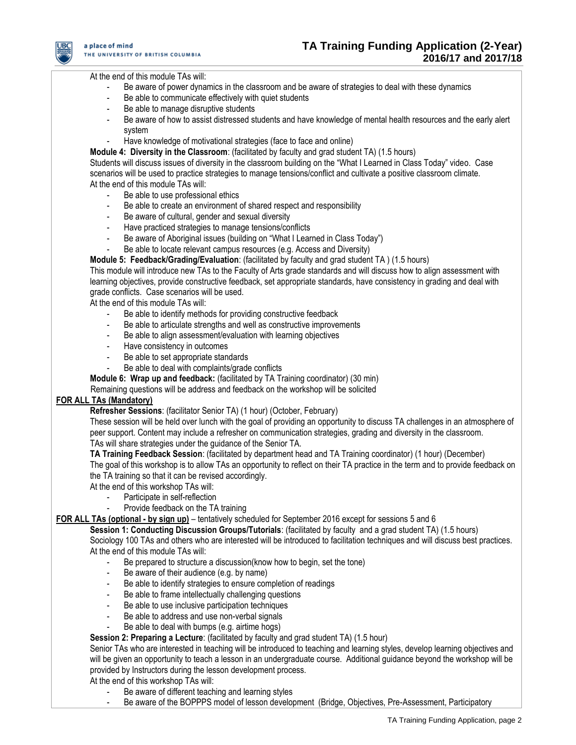

At the end of this module TAs will:

- Be aware of power dynamics in the classroom and be aware of strategies to deal with these dynamics
- Be able to communicate effectively with quiet students
- Be able to manage disruptive students
- Be aware of how to assist distressed students and have knowledge of mental health resources and the early alert system
- Have knowledge of motivational strategies (face to face and online)

**Module 4: Diversity in the Classroom**: (facilitated by faculty and grad student TA) (1.5 hours) Students will discuss issues of diversity in the classroom building on the "What I Learned in Class Today" video. Case scenarios will be used to practice strategies to manage tensions/conflict and cultivate a positive classroom climate. At the end of this module TAs will:

- Be able to use professional ethics
- Be able to create an environment of shared respect and responsibility
- Be aware of cultural, gender and sexual diversity
- Have practiced strategies to manage tensions/conflicts
- Be aware of Aboriginal issues (building on "What I Learned in Class Today")
- Be able to locate relevant campus resources (e.g. Access and Diversity)

**Module 5: Feedback/Grading/Evaluation**: (facilitated by faculty and grad student TA ) (1.5 hours)

This module will introduce new TAs to the Faculty of Arts grade standards and will discuss how to align assessment with learning objectives, provide constructive feedback, set appropriate standards, have consistency in grading and deal with grade conflicts. Case scenarios will be used.

At the end of this module TAs will:

- Be able to identify methods for providing constructive feedback
- Be able to articulate strengths and well as constructive improvements
- Be able to align assessment/evaluation with learning objectives
- Have consistency in outcomes
- Be able to set appropriate standards
- Be able to deal with complaints/grade conflicts

**Module 6: Wrap up and feedback:** (facilitated by TA Training coordinator) (30 min)

Remaining questions will be address and feedback on the workshop will be solicited

# **FOR ALL TAs (Mandatory)**

**Refresher Sessions**: (facilitator Senior TA) (1 hour) (October, February)

These session will be held over lunch with the goal of providing an opportunity to discuss TA challenges in an atmosphere of peer support. Content may include a refresher on communication strategies, grading and diversity in the classroom. TAs will share strategies under the guidance of the Senior TA.

**TA Training Feedback Session**: (facilitated by department head and TA Training coordinator) (1 hour) (December) The goal of this workshop is to allow TAs an opportunity to reflect on their TA practice in the term and to provide feedback on the TA training so that it can be revised accordingly.

At the end of this workshop TAs will:

- Participate in self-reflection
- Provide feedback on the TA training

**FOR ALL TAs (optional - by sign up)** – tentatively scheduled for September 2016 except for sessions 5 and 6

**Session 1: Conducting Discussion Groups/Tutorials**: (facilitated by faculty and a grad student TA) (1.5 hours) Sociology 100 TAs and others who are interested will be introduced to facilitation techniques and will discuss best practices. At the end of this module TAs will:

- Be prepared to structure a discussion(know how to begin, set the tone)
- Be aware of their audience (e.g. by name)
- Be able to identify strategies to ensure completion of readings
- Be able to frame intellectually challenging questions
- Be able to use inclusive participation techniques
- Be able to address and use non-verbal signals
- Be able to deal with bumps (e.g. airtime hogs)

**Session 2: Preparing a Lecture**: (facilitated by faculty and grad student TA) (1.5 hour)

Senior TAs who are interested in teaching will be introduced to teaching and learning styles, develop learning objectives and will be given an opportunity to teach a lesson in an undergraduate course. Additional guidance beyond the workshop will be provided by Instructors during the lesson development process.

At the end of this workshop TAs will:

- Be aware of different teaching and learning styles
- Be aware of the BOPPPS model of lesson development (Bridge, Objectives, Pre-Assessment, Participatory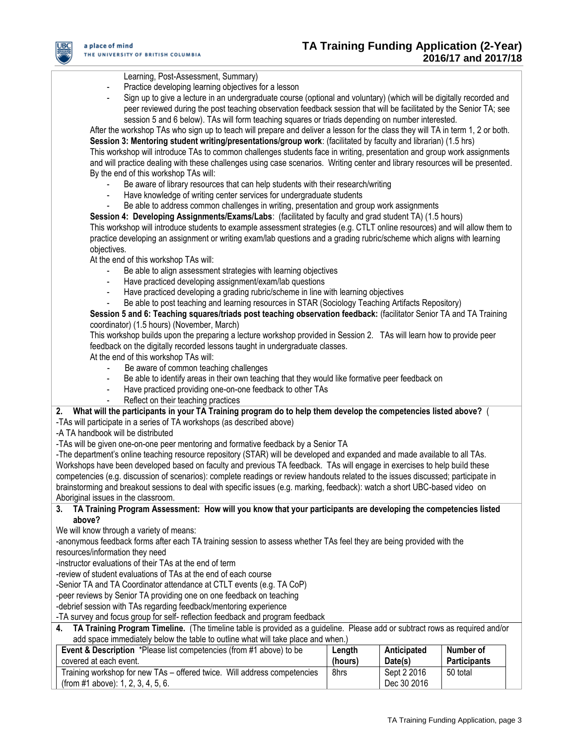

## Learning, Post-Assessment, Summary)

- Practice developing learning objectives for a lesson
- Sign up to give a lecture in an undergraduate course (optional and voluntary) (which will be digitally recorded and peer reviewed during the post teaching observation feedback session that will be facilitated by the Senior TA; see session 5 and 6 below). TAs will form teaching squares or triads depending on number interested.

After the workshop TAs who sign up to teach will prepare and deliver a lesson for the class they will TA in term 1, 2 or both. **Session 3: Mentoring student writing/presentations/group work**: (facilitated by faculty and librarian) (1.5 hrs) This workshop will introduce TAs to common challenges students face in writing, presentation and group work assignments and will practice dealing with these challenges using case scenarios. Writing center and library resources will be presented. By the end of this workshop TAs will:

- Be aware of library resources that can help students with their research/writing
- Have knowledge of writing center services for undergraduate students
- Be able to address common challenges in writing, presentation and group work assignments

**Session 4: Developing Assignments/Exams/Labs**: (facilitated by faculty and grad student TA) (1.5 hours) This workshop will introduce students to example assessment strategies (e.g. CTLT online resources) and will allow them to practice developing an assignment or writing exam/lab questions and a grading rubric/scheme which aligns with learning objectives.

At the end of this workshop TAs will:

- Be able to align assessment strategies with learning objectives
- Have practiced developing assignment/exam/lab questions
- Have practiced developing a grading rubric/scheme in line with learning objectives
- Be able to post teaching and learning resources in STAR (Sociology Teaching Artifacts Repository)

**Session 5 and 6: Teaching squares/triads post teaching observation feedback:** (facilitator Senior TA and TA Training coordinator) (1.5 hours) (November, March)

This workshop builds upon the preparing a lecture workshop provided in Session 2. TAs will learn how to provide peer feedback on the digitally recorded lessons taught in undergraduate classes.

At the end of this workshop TAs will:

- Be aware of common teaching challenges
- Be able to identify areas in their own teaching that they would like formative peer feedback on
- Have practiced providing one-on-one feedback to other TAs
- Reflect on their teaching practices

#### **2. What will the participants in your TA Training program do to help them develop the competencies listed above?** ( -TAs will participate in a series of TA workshops (as described above)

-A TA handbook will be distributed

-TAs will be given one-on-one peer mentoring and formative feedback by a Senior TA

-The department's online teaching resource repository (STAR) will be developed and expanded and made available to all TAs. Workshops have been developed based on faculty and previous TA feedback. TAs will engage in exercises to help build these competencies (e.g. discussion of scenarios): complete readings or review handouts related to the issues discussed; participate in brainstorming and breakout sessions to deal with specific issues (e.g. marking, feedback): watch a short UBC-based video on Aboriginal issues in the classroom.

#### **3. TA Training Program Assessment: How will you know that your participants are developing the competencies listed above?**

We will know through a variety of means:

-anonymous feedback forms after each TA training session to assess whether TAs feel they are being provided with the resources/information they need

-instructor evaluations of their TAs at the end of term

-review of student evaluations of TAs at the end of each course

-Senior TA and TA Coordinator attendance at CTLT events (e.g. TA CoP)

-peer reviews by Senior TA providing one on one feedback on teaching

-debrief session with TAs regarding feedback/mentoring experience

-TA survey and focus group for self- reflection feedback and program feedback

**4. TA Training Program Timeline.** (The timeline table is provided as a guideline. Please add or subtract rows as required and/or add space immediately below the table to outline what will take place and when.)

| <b>Event &amp; Description</b> *Please list competencies (from #1 above) to be                                 | Length  | Anticipated                | Number of           |
|----------------------------------------------------------------------------------------------------------------|---------|----------------------------|---------------------|
| covered at each event.                                                                                         | (hours) | Date(s)                    | <b>Participants</b> |
| Training workshop for new TAs – offered twice. Will address competencies<br>(from #1 above): 1, 2, 3, 4, 5, 6. | 8hrs    | Sept 2 2016<br>Dec 30 2016 | 50 total            |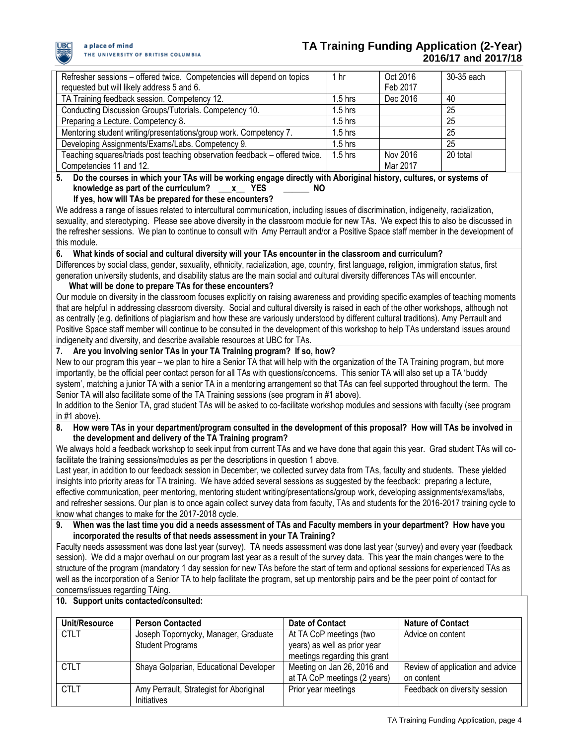

| Refresher sessions – offered twice. Competencies will depend on topics      | 1 hr      | Oct 2016 | 30-35 each |
|-----------------------------------------------------------------------------|-----------|----------|------------|
| requested but will likely address 5 and 6.                                  |           | Feb 2017 |            |
| TA Training feedback session. Competency 12.                                | $1.5$ hrs | Dec 2016 | -40        |
| Conducting Discussion Groups/Tutorials. Competency 10.                      | $1.5$ hrs |          | 25         |
| Preparing a Lecture. Competency 8.                                          | $1.5$ hrs |          | 25         |
| Mentoring student writing/presentations/group work. Competency 7.           | $1.5$ hrs |          | 25         |
| Developing Assignments/Exams/Labs. Competency 9.                            | $1.5$ hrs |          | 25         |
| Teaching squares/triads post teaching observation feedback - offered twice. | $1.5$ hrs | Nov 2016 | 20 total   |
| Competencies 11 and 12.                                                     |           | Mar 2017 |            |

**5. Do the courses in which your TAs will be working engage directly with Aboriginal history, cultures, or systems of knowledge as part of the curriculum? \_\_\_x\_\_ YES \_\_\_\_\_\_ NO**

 **If yes, how will TAs be prepared for these encounters?**  We address a range of issues related to intercultural communication, including issues of discrimination, indigeneity, racialization,

sexuality, and stereotyping. Please see above diversity in the classroom module for new TAs. We expect this to also be discussed in the refresher sessions. We plan to continue to consult with Amy Perrault and/or a Positive Space staff member in the development of this module.

**6. What kinds of social and cultural diversity will your TAs encounter in the classroom and curriculum?**

Differences by social class, gender, sexuality, ethnicity, racialization, age, country, first language, religion, immigration status, first generation university students, and disability status are the main social and cultural diversity differences TAs will encounter.

# **What will be done to prepare TAs for these encounters?**

Our module on diversity in the classroom focuses explicitly on raising awareness and providing specific examples of teaching moments that are helpful in addressing classroom diversity. Social and cultural diversity is raised in each of the other workshops, although not as centrally (e.g. definitions of plagiarism and how these are variously understood by different cultural traditions). Amy Perrault and Positive Space staff member will continue to be consulted in the development of this workshop to help TAs understand issues around indigeneity and diversity, and describe available resources at UBC for TAs.

# **7. Are you involving senior TAs in your TA Training program? If so, how?**

New to our program this year – we plan to hire a Senior TA that will help with the organization of the TA Training program, but more importantly, be the official peer contact person for all TAs with questions/concerns. This senior TA will also set up a TA 'buddy system', matching a junior TA with a senior TA in a mentoring arrangement so that TAs can feel supported throughout the term. The Senior TA will also facilitate some of the TA Training sessions (see program in #1 above).

In addition to the Senior TA, grad student TAs will be asked to co-facilitate workshop modules and sessions with faculty (see program in #1 above).

### **8. How were TAs in your department/program consulted in the development of this proposal? How will TAs be involved in the development and delivery of the TA Training program?**

We always hold a feedback workshop to seek input from current TAs and we have done that again this year. Grad student TAs will cofacilitate the training sessions/modules as per the descriptions in question 1 above.

Last year, in addition to our feedback session in December, we collected survey data from TAs, faculty and students. These yielded insights into priority areas for TA training. We have added several sessions as suggested by the feedback: preparing a lecture, effective communication, peer mentoring, mentoring student writing/presentations/group work, developing assignments/exams/labs, and refresher sessions. Our plan is to once again collect survey data from faculty, TAs and students for the 2016-2017 training cycle to know what changes to make for the 2017-2018 cycle.

### **9. When was the last time you did a needs assessment of TAs and Faculty members in your department? How have you incorporated the results of that needs assessment in your TA Training?**

Faculty needs assessment was done last year (survey). TA needs assessment was done last year (survey) and every year (feedback session). We did a major overhaul on our program last year as a result of the survey data. This year the main changes were to the structure of the program (mandatory 1 day session for new TAs before the start of term and optional sessions for experienced TAs as well as the incorporation of a Senior TA to help facilitate the program, set up mentorship pairs and be the peer point of contact for concerns/issues regarding TAing.

# **10. Support units contacted/consulted:**

| Unit/Resource | <b>Person Contacted</b>                                         | Date of Contact                                                                          | <b>Nature of Contact</b>                       |
|---------------|-----------------------------------------------------------------|------------------------------------------------------------------------------------------|------------------------------------------------|
| <b>CTLT</b>   | Joseph Topornycky, Manager, Graduate<br><b>Student Programs</b> | At TA CoP meetings (two<br>years) as well as prior year<br>meetings regarding this grant | Advice on content                              |
| <b>CTLT</b>   | Shaya Golparian, Educational Developer                          | Meeting on Jan 26, 2016 and<br>at TA CoP meetings (2 years)                              | Review of application and advice<br>on content |
| <b>CTLT</b>   | Amy Perrault, Strategist for Aboriginal<br>Initiatives          | Prior year meetings                                                                      | Feedback on diversity session                  |